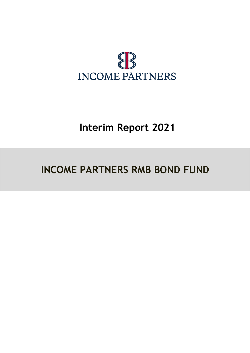

# **Interim Report 2021**

# **INCOME PARTNERS RMB BOND FUND**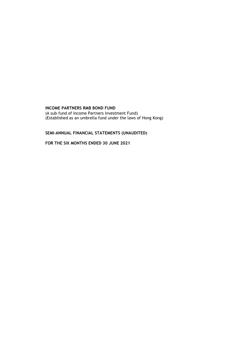(A sub–fund of Income Partners Investment Fund) (Established as an umbrella fund under the laws of Hong Kong)

# **SEMI-ANNUAL FINANCIAL STATEMENTS (UNAUDITED)**

**FOR THE SIX MONTHS ENDED 30 JUNE 2021**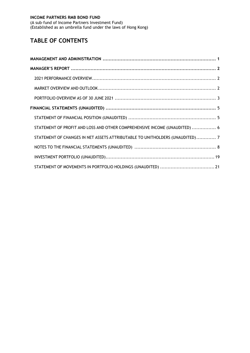(A sub–fund of Income Partners Investment Fund) (Established as an umbrella fund under the laws of Hong Kong)

# **TABLE OF CONTENTS**

| STATEMENT OF PROFIT AND LOSS AND OTHER COMPREHENSIVE INCOME (UNAUDITED)  6   |  |
|------------------------------------------------------------------------------|--|
| STATEMENT OF CHANGES IN NET ASSETS ATTRIBUTABLE TO UNITHOLDERS (UNAUDITED) 7 |  |
|                                                                              |  |
|                                                                              |  |
|                                                                              |  |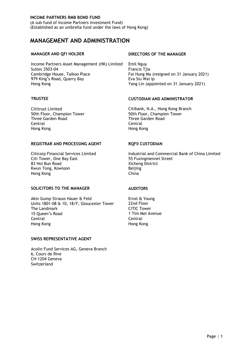(A sub–fund of Income Partners Investment Fund) (Established as an umbrella fund under the laws of Hong Kong)

# <span id="page-3-0"></span>**MANAGEMENT AND ADMINISTRATION**

Income Partners Asset Management (HK) Limited Emil Nguy Suites 3503-04 Francis Tjia Cambridge House, Taikoo Place<br>
979 King's Road, Quarry Bay<br>
For Sing Wai Ip For Sill Wai Ip For Sill Wai Ip Shows Shows Planney 2021) 979 King's Road, Quarry Bay Hong Kong Yang Lin (appointed on 31 January 2021)

50th Floor, Champion Tower Three Garden Road Three Garden Road Central Central Hong Kong Hong Kong

#### **REGISTRAR AND PROCESSING AGENT RQFII CUSTODIAN**

Citi Tower, One Bay East 65 Fuxingmennei Street 83 Hoi Bun Road Xicheng District Kwun Tong, Kowloon **Beijing**<br>Hong Kong Beijing Beijing Hong Kong

#### **SOLICITORS TO THE MANAGER AUDITORS**

Akin Gump Strauss Hauer & Feld Ernst & Young Units 1801-08 & 10, 18/F, Gloucester Tower 22nd Floor<br>The Landmark CITIC Tower The Landmark CITIC Tower<br>15 Oueen's Road CITIC Tower<br>15 Oueen's Road CITIC Tim Mei Avenue 15 Oueen's Road Central Central Hong Kong Hong Kong

#### **SWISS REPRESENTATIVE AGENT**

Acolin Fund Services AG, Geneva Branch 6, Cours de Rive CH-1204 Geneva Switzerland

#### **MANAGER AND QFI HOLDER DIRECTORS OF THE MANAGER**

#### **TRUSTEE CUSTODIAN AND ADMINISTRATOR**

Cititrust Limited<br>
50th Floor, Champion Tower<br>
50th Floor, Champion Tower<br>
50th Floor, Champion Tower

Citicorp Financial Services Limited Industrial and Commercial Bank of China Limited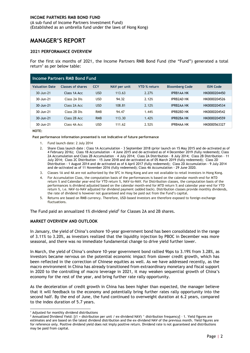(A sub–fund of Income Partners Investment Fund) (Established as an umbrella fund under the laws of Hong Kong)

# <span id="page-4-0"></span>**MANAGER'S REPORT**

#### <span id="page-4-1"></span>**2021 PERFORMANCE OVERVIEW**

For the first six months of 2021, the Income Partners RMB Bond Fund (the "Fund") generated a total return<sup>1</sup> as per below table:

|                       | Income Partners RMB Bond Fund |            |              |                     |                       |                  |
|-----------------------|-------------------------------|------------|--------------|---------------------|-----------------------|------------------|
| <b>Valuation Date</b> | Classes of shares             | <b>CCY</b> | NAV per unit | <b>YTD % return</b> | <b>Bloomberg Code</b> | <b>ISIN Code</b> |
| 30-Jun-21             | Class 1A Acc                  | <b>USD</b> | 113.63       | 2.27%               | <b>IPRB1AA HK</b>     | HK0000204450     |
| 30-Jun-21             | Class 2A Dis                  | <b>USD</b> | 94.32        | 2.12%               | <b>IPRB2AD HK</b>     | HK0000204526     |
| 30-Jun-21             | Class 2A Acc                  | <b>USD</b> | 108.81       | 2.12%               | <b>IPRB2AA HK</b>     | HK0000204534     |
| 30-Jun-21             | Class 2B Dis                  | <b>RMB</b> | 94.47        | 1.44%               | <b>IPRB2BD HK</b>     | HK0000204542     |
| 30-Jun-21             | Class 2B Acc                  | <b>RMB</b> | 113.30       | 1.42%               | <b>IPRB2BA HK</b>     | HK0000204559     |
| 30-Jun-21             | Class 4A Acc                  | <b>USD</b> | 111.62       | 2.52%               | <b>IPRB4AA HK</b>     | HK0000563327     |

**NOTE:**

**Past performance information presented is not indicative of future performance**

- 1. Fund launch date: 2 July 2014
- 2. Share Class launch date : Class 1A Accumulation 3 September 2018 (prior launch on 15 May 2015 and de-activated as of 4 February 2016); Class 1B Accumulation - 4 June 2015 and de-activated as of 4 December 2019 (fully redeemed); Class 2A Accumulation and Class 2B Accumulation – 4 July 2014; Class 2A Distribution – 8 July 2014; Class 2B Distribution – 11 July 2014; Class 2C Distribution – 15 June 2018 and de-activated as of 05 March 2019 (fully redeemed); Class 2D Distribution - 1 August 2014 and de-activated as of 6 April 2017 (fully redeemed); Class 2D Accumulation - 9 July 2014 and de-activated as of 11 November 2016 (fully redeemed); Class 4A Accumulation - 29 June 2020.
- 3. Classes 1A and 4A are not authorized by the SFC in Hong Kong and are not available to retail investors in Hong Kong.
- 4. For Accumulation Class, the computation basis of the performances is based on the calendar month-end for MTD return % and Calendar year-end for YTD return %, NAV-to-NAV. For Distribution classes, the computation basis of the performances is dividend adjusted based on the calendar month-end for MTD return % and calendar year-end for YTD return %, i.e. NAV-to-NAV adjusted for dividend payment (added back). Distribution classes provide monthly dividends, the rate of dividend is however not guaranteed and may be paid out from the Fund's capital.
- 5. Returns are based on RMB currency. Therefore, USD-based investors are therefore exposed to foreign exchange fluctuations.

The Fund paid an annualized 1% dividend yield<sup>2</sup> for Classes 2A and 2B shares.

#### **MARKET OVERVIEW AND OUTLOOK**

In January, the yield of China's onshore 10-year government bond has been consolidated in the range of 3.11% to 3.20%, as investors realized that the liquidity injection by PBOC in December was more seasonal, and there was no immediate fundamental change to drive yield further lower.

In March, the yield of China's onshore 10-year government bond rallied 9bps to 3.19% from 3.28%, as investors became nervous on the potential economic impact from slower credit growth, which has been reflected in the correction of Chinese equities as well. As we have addressed recently, as the macro environment in China has already transitioned from extraordinary monetary and fiscal support in 2020 to the controlling of macro leverage in 2021, it may weaken sequential growth of China's economy for the rest of the year, and bring further rate rally opportunity.

As the deceleration of credit growth in China has been higher than expected, the manager believe that it will feedback to the economy and potentially bring further rates rally opportunity into the second half. By the end of June, the fund continued to overweight duration at 6.2 years, compared to the index duration of 5.7 years.

<sup>-</sup><sup>1</sup> Adjusted for monthly dividend distributions

<sup>&</sup>lt;sup>2</sup> Annualized Dividend Yield: [(1 + distribution per unit / ex-dividend NAV)  $\land$  distribution frequency] - 1. Yield figures are estimates and are based on the latest dividend distribution and the ex-dividend NAV of the previous month. Yield figures are for reference only. Positive dividend yield does not imply positive return. Dividend rate is not guaranteed and distributions may be paid from capital.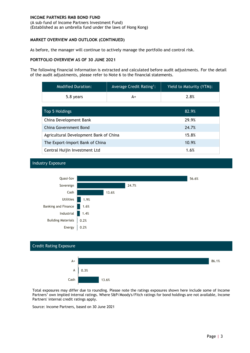(A sub–fund of Income Partners Investment Fund) (Established as an umbrella fund under the laws of Hong Kong)

#### **MARKET OVERVIEW AND OUTLOOK (CONTINUED)**

As before, the manager will continue to actively manage the portfolio and control risk.

#### <span id="page-5-0"></span>**PORTFOLIO OVERVIEW AS OF 30 JUNE 2021**

Industry Exposure

The following financial information is extracted and calculated before audit adjustments. For the detail of the audit adjustments, please refer to Note 6 to the financial statements.

| <b>Modified Duration:</b>              | Average Credit Rating <sup>1</sup> : | Yield to Maturity (YTM): |
|----------------------------------------|--------------------------------------|--------------------------|
| 5.8 years<br>A+                        |                                      | 2.8%                     |
|                                        |                                      |                          |
| Top 5 Holdings                         | 82.9%                                |                          |
| China Development Bank                 | 29.9%                                |                          |
| China Government Bond                  |                                      | 24.7%                    |
| Agricultural Development Bank of China |                                      | 15.8%                    |
| The Export-Import Bank of China        | 10.9%                                |                          |
| Central Huijin Investment Ltd          |                                      | 1.6%                     |





Total exposures may differ due to rounding. Please note the ratings exposures shown here include some of Income Partners' own implied internal ratings. Where S&P/Moody's/Fitch ratings for bond holdings are not available, Income Partners' internal credit ratings apply.

Source: Income Partners, based on 30 June 2021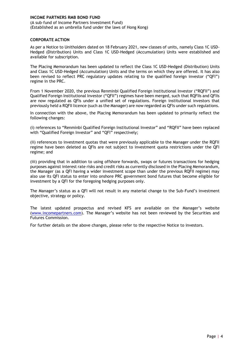(A sub–fund of Income Partners Investment Fund) (Established as an umbrella fund under the laws of Hong Kong)

#### **CORPORATE ACTION**

As per a Notice to Unitholders dated on 18 February 2021, new classes of units, namely Class 1C USD-Hedged (Distribution) Units and Class 1C USD-Hedged (Accumulation) Units were established and available for subscription.

The Placing Memorandum has been updated to reflect the Class 1C USD-Hedged (Distribution) Units and Class 1C USD-Hedged (Accumulation) Units and the terms on which they are offered. It has also been revised to reflect PRC regulatory updates relating to the qualified foreign investor ("QFI") regime in the PRC.

From 1 November 2020, the previous Renminbi Qualified Foreign Institutional Investor ("RQFII") and Qualified Foreign Institutional Investor ("QFII") regimes have been merged, such that RQFIIs and QFIIs are now regulated as QFIs under a unified set of regulations. Foreign institutional investors that previously held a RQFII licence (such as the Manager) are now regarded as QFIs under such regulations.

In connection with the above, the Placing Memorandum has been updated to primarily reflect the following changes:

(i) references to "Renminbi Qualified Foreign Institutional Investor" and "RQFII" have been replaced with "Qualified Foreign Investor" and "QFI" respectively;

(ii) references to investment quotas that were previously applicable to the Manager under the RQFII regime have been deleted as QFIs are not subject to investment quota restrictions under the QFI regime; and

(iii) providing that in addition to using offshore forwards, swaps or futures transactions for hedging purposes against interest rate risks and credit risks as currently disclosed in the Placing Memorandum, the Manager (as a QFI having a wider investment scope than under the previous RQFII regime) may also use its QFI status to enter into onshore PRC government bond futures that become eligible for investment by a QFI for the foregoing hedging purposes only.

The Manager's status as a QFI will not result in any material change to the Sub-Fund's investment objective, strategy or policy.

The latest updated prospectus and revised KFS are available on the Manager's website [\(www.incomepartners.com](http://www.incomepartners.com/)). The Manager's website has not been reviewed by the Securities and Futures Commission.

For further details on the above changes, please refer to the respective Notice to investors.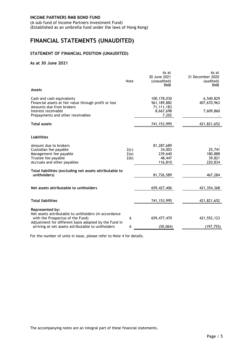(A sub–fund of Income Partners Investment Fund) (Established as an umbrella fund under the laws of Hong Kong)

# <span id="page-7-0"></span>**FINANCIAL STATEMENTS (UNAUDITED)**

#### <span id="page-7-1"></span>**STATEMENT OF FINANCIAL POSITION (UNAUDITED)**

#### **As at 30 June 2021**

|                                                                                                                                                                            | Note                 | As at<br>30 June 2021<br>(unaudited)<br><b>RMB</b>             | As at<br>31 December 2020<br>(audited)<br><b>RMB</b> |
|----------------------------------------------------------------------------------------------------------------------------------------------------------------------------|----------------------|----------------------------------------------------------------|------------------------------------------------------|
| <b>Assets</b>                                                                                                                                                              |                      |                                                                |                                                      |
| Cash and cash equivalents<br>Financial assets at fair value through profit or loss<br>Amounts due from brokers<br>Interest receivable<br>Prepayments and other receivables |                      | 100,178,030<br>561,189,882<br>71,111,183<br>8,667,698<br>7,202 | 6,540,829<br>407,670,963<br>7,609,860                |
| <b>Total assets</b>                                                                                                                                                        |                      | 741, 153, 995                                                  | 421,821,652                                          |
| <b>Liabilities</b>                                                                                                                                                         |                      |                                                                |                                                      |
| Amount due to brokers<br>Custodian fee payable<br>Management fee payable<br>Trustee fee payable<br>Accruals and other payables                                             | 2(c)<br>2(a)<br>2(b) | 81,287,689<br>34,003<br>239,640<br>48,447<br>116,810           | 25,741<br>180,888<br>39,821<br>220,834               |
| Total liabilities (excluding net assets attributable to<br>unitholders)                                                                                                    |                      | 81,726,589                                                     | 467,284                                              |
| Net assets attributable to unitholders                                                                                                                                     |                      | 659,427,406                                                    | 421,354,368                                          |
| <b>Total liabilities</b>                                                                                                                                                   |                      | 741, 153, 995                                                  | 421,821,652                                          |
| Represented by:<br>Net assets attributable to unitholders (in accordance<br>with the Prospectus of the Fund)                                                               | 6                    | 659, 477, 470                                                  | 421,552,123                                          |
| Adjustment for different basis adopted by the Fund in<br>arriving at net assets attributable to unitholders                                                                | 6                    | (50,064)                                                       | (197, 755)                                           |

For the number of units in issue, please refer to Note 4 for details.

The accompanying notes are an integral part of these financial statements.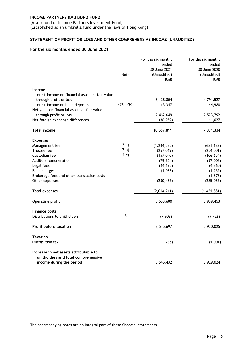(A sub–fund of Income Partners Investment Fund) (Established as an umbrella fund under the laws of Hong Kong)

# <span id="page-8-0"></span>**STATEMENT OF PROFIT OR LOSS AND OTHER COMPREHENSIVE INCOME (UNAUDITED)**

#### **For the six months ended 30 June 2021**

|                                                            | Note       | For the six months<br>ended<br>30 June 2021<br>(Unaudited)<br><b>RMB</b> | For the six months<br>ended<br>30 June 2020<br>(Unaudited)<br><b>RMB</b> |
|------------------------------------------------------------|------------|--------------------------------------------------------------------------|--------------------------------------------------------------------------|
| Income                                                     |            |                                                                          |                                                                          |
| Interest income on financial assets at fair value          |            |                                                                          |                                                                          |
| through profit or loss<br>Interest income on bank deposits | 2(d), 2(e) | 8,128,804<br>13,347                                                      | 4,791,527<br>44,988                                                      |
| Net gains on financial assets at fair value                |            |                                                                          |                                                                          |
| through profit or loss                                     |            | 2,462,649                                                                | 2,523,792                                                                |
| Net foreign exchange differences                           |            | (36, 989)                                                                | 11,027                                                                   |
| <b>Total income</b>                                        |            | 10,567,811                                                               | 7,371,334                                                                |
| <b>Expenses</b>                                            |            |                                                                          |                                                                          |
| Management fee                                             | 2(a)       | (1, 244, 585)                                                            | (681, 183)                                                               |
| Trustee fee                                                | 2(b)       | (257,069)                                                                | (254,001)                                                                |
| Custodian fee                                              | 2(c)       | (157, 040)                                                               | (106, 654)                                                               |
| Auditors remuneration                                      |            | (79, 254)                                                                | (97,008)                                                                 |
| Legal fees                                                 |            | (44, 695)                                                                | (4, 860)                                                                 |
| <b>Bank charges</b>                                        |            | (1,083)                                                                  | (1, 232)                                                                 |
| Brokerage fees and other transaction costs                 |            |                                                                          | (1,878)                                                                  |
| Other expenses                                             |            | (230, 485)                                                               | (285,065)                                                                |
| Total expenses                                             |            | (2,014,211)                                                              | (1, 431, 881)                                                            |
| Operating profit                                           |            | 8,553,600                                                                | 5,939,453                                                                |
| <b>Finance costs</b>                                       |            |                                                                          |                                                                          |
| Distributions to unitholders                               | 5          | (7,903)                                                                  | (9, 428)                                                                 |
| <b>Profit before taxation</b>                              |            | 8,545,697                                                                | 5,930,025                                                                |
| <b>Taxation</b>                                            |            |                                                                          |                                                                          |
| Distribution tax                                           |            | (265)                                                                    | (1,001)                                                                  |
| Increase in net assets attributable to                     |            |                                                                          |                                                                          |
| unitholders and total comprehensive                        |            |                                                                          |                                                                          |
| income during the period                                   |            | 8,545,432                                                                | 5,929,024                                                                |
|                                                            |            |                                                                          |                                                                          |

The accompanying notes are an integral part of these financial statements.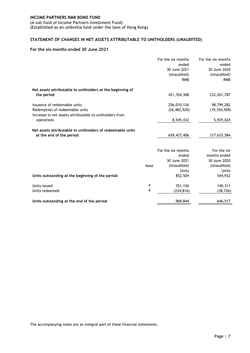(A sub–fund of Income Partners Investment Fund) (Established as an umbrella fund under the laws of Hong Kong)

# <span id="page-9-0"></span>**STATEMENT OF CHANGES IN NET ASSETS ATTRIBUTABLE TO UNITHOLDERS (UNAUDITED)**

#### **For the six months ended 30 June 2021**

|                                                            |      | For the six months<br>ended<br>30 June 2021<br>(Unaudited) | For the six months<br>ended<br>30 June 2020<br>(Unaudited) |
|------------------------------------------------------------|------|------------------------------------------------------------|------------------------------------------------------------|
|                                                            |      | <b>RMB</b>                                                 | <b>RMB</b>                                                 |
| Net assets attributable to unitholders at the beginning of |      |                                                            |                                                            |
| the period                                                 |      | 421,354,368                                                | 232, 261, 787                                              |
| Issuance of redeemable units                               |      | 256,010,126                                                | 98,799,282                                                 |
| Redemption of redeemable units                             |      | (26, 482, 520)                                             | (19, 354, 509)                                             |
| Increase in net assets attributable to unitholders from    |      |                                                            |                                                            |
| operations                                                 |      | 8,545,432                                                  | 5,929,024                                                  |
| Net assets attributable to unitholders of redeemable units |      |                                                            |                                                            |
| at the end of the period                                   |      | 659, 427, 406                                              | 317,635,584                                                |
|                                                            |      |                                                            |                                                            |
|                                                            |      | For the six months                                         | For the six                                                |
|                                                            |      | ended                                                      | months ended                                               |
|                                                            |      | 30 June 2021                                               | 30 June 2020                                               |
|                                                            | Note | (Unaudited)                                                | (Unaudited)                                                |
|                                                            |      | <b>Units</b>                                               | <b>Units</b>                                               |
| Units outstanding at the beginning of the period           |      | 852,504                                                    | 544,932                                                    |
| Units issued                                               | 4    | 351,156                                                    | 140,311                                                    |
| Units redeemed                                             | 4    | (234, 816)                                                 | (38, 726)                                                  |
| Units outstanding at the end of the period                 |      | 968,844                                                    | 646,517                                                    |

The accompanying notes are an integral part of these financial statements.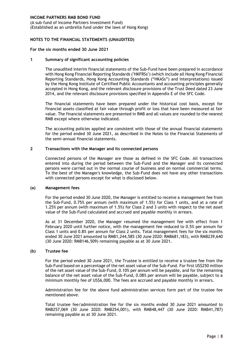(A sub–fund of Income Partners Investment Fund) (Established as an umbrella fund under the laws of Hong Kong)

#### <span id="page-10-0"></span>**NOTES TO THE FINANCIAL STATEMENTS (UNAUDITED)**

#### **For the six months ended 30 June 2021**

#### **1 Summary of significant accounting policies**

The unaudited interim financial statements of the Sub-Fund have been prepared in accordance with Hong Kong Financial Reporting Standards ("HKFRSs") (which include all Hong Kong Financial Reporting Standards, Hong Kong Accounting Standards ("HKASs") and Interpretations) issued by the Hong Kong Institute of Certified Public Accountants and accounting principles generally accepted in Hong Kong, and the relevant disclosure provisions of the Trust Deed dated 23 June 2014, and the relevant disclosure provisions specified in Appendix E of the SFC Code.

The financial statements have been prepared under the historical cost basis, except for financial assets classified at fair value through profit or loss that have been measured at fair value. The financial statements are presented in RMB and all values are rounded to the nearest RMB except where otherwise indicated.

The accounting policies applied are consistent with those of the annual financial statements for the period ended 30 June 2021, as described in the Notes to the Financial Statements of the semi-annual financial statements.

#### **2 Transactions with the Manager and its connected persons**

Connected persons of the Manager are those as defined in the SFC Code. All transactions entered into during the period between the Sub-Fund and the Manager and its connected persons were carried out in the normal course of business and on normal commercial terms. To the best of the Manager's knowledge, the Sub-Fund does not have any other transactions with connected persons except for what is disclosed below.

#### **(a) Management fees**

For the period ended 30 June 2020, the Manager is entitled to receive a management fee from the Sub-Fund, 0.75% per annum (with maximum of 1.5%) for Class 1 units, and at a rate of 1.25% per annum (with maximum of 1.5%) for Class 2 and 3 units with respect to the net asset value of the Sub-Fund calculated and accrued and payable monthly in arrears.

As at 31 December 2020, the Manager resumed the management fee with effect from 1 February 2020 until further notice, with the management fee reduced to 0.5% per annum for Class 1 units and 0.8% per annum for Class 2 units. Total management fees for the six months ended 30 June 2021 amounted to RMB1,244,585 (30 June 2020: RMB681,183), with RMB239,640 (30 June 2020: RMB146,509) remaining payable as at 30 June 2021.

#### **(b) Trustee fee**

For the period ended 30 June 2021, the Trustee is entitled to receive a trustee fee from the Sub-Fund based on a percentage of the net asset value of the Sub-Fund. For first US\$250 million of the net asset value of the Sub-Fund, 0.10% per annum will be payable, and for the remaining balance of the net asset value of the Sub-Fund, 0.08% per annum will be payable, subject to a minimum monthly fee of US\$6,000. The fees are accrued and payable monthly in arrears.

Administration fee for the above fund administration services form part of the trustee fee mentioned above.

Total trustee fee/administration fee for the six months ended 30 June 2021 amounted to RMB257,069 (30 June 2020: RMB254,001), with RMB48,447 (30 June 2020: RMB41,787) remaining payable as at 30 June 2021.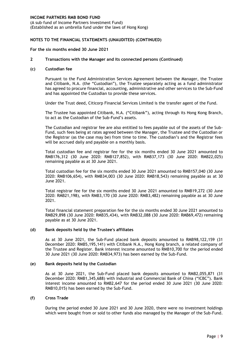(A sub–fund of Income Partners Investment Fund) (Established as an umbrella fund under the laws of Hong Kong)

#### **NOTES TO THE FINANCIAL STATEMENTS (UNAUDITED) (CONTINUED)**

#### **For the six months ended 30 June 2021**

#### **2 Transactions with the Manager and its connected persons (Continued)**

#### **(c) Custodian fee**

Pursuant to the Fund Administration Services Agreement between the Manager, the Trustee and Citibank, N.A. (the "Custodian"), the Trustee separately acting as a fund administrator has agreed to procure financial, accounting, administrative and other services to the Sub-Fund and has appointed the Custodian to provide these services.

Under the Trust deed, Citicorp Financial Services Limited is the transfer agent of the Fund.

The Trustee has appointed Citibank, N.A. ("Citibank"), acting through its Hong Kong Branch, to act as the Custodian of the Sub-Fund's assets.

The Custodian and registrar fee are also entitled to fees payable out of the assets of the Sub-Fund, such fees being at rates agreed between the Manager, the Trustee and the Custodian or the Registrar (as the case may be) from time to time. The custodian's and the Registrar fees will be accrued daily and payable on a monthly basis.

Total custodian fee and registrar fee for the six months ended 30 June 2021 amounted to RMB176,312 (30 June 2020: RMB127,852), with RMB37,173 (30 June 2020: RMB22,025) remaining payable as at 30 June 2021.

Total custodian fee for the six months ended 30 June 2021 amounted to RMB157,040 (30 June 2020: RMB106,654), with RMB34,003 (30 June 2020: RMB18,543) remaining payable as at 30 June 2021.

Total registrar fee for the six months ended 30 June 2021 amounted to RMB19,272 (30 June 2020: RMB21,198), with RMB3,170 (30 June 2020: RMB3,482) remaining payable as at 30 June 2021.

Total financial statement preparation fee for the six months ended 30 June 2021 amounted to RMB29,898 (30 June 2020: RMB35,434), with RMB32,088 (30 June 2020: RMB69,472) remaining payable as at 30 June 2021.

#### **(d) Bank deposits held by the Trustee's affiliates**

As at 30 June 2021, the Sub-Fund placed bank deposits amounted to RMB98,122,159 (31 December 2020: RMB5,195,141) with Citibank N.A., Hong Kong branch, a related company of the Trustee and Register. Bank interest income amounted to RMB10,700 for the period ended 30 June 2021 (30 June 2020: RMB34,973) has been earned by the Sub-Fund.

#### **(e) Bank deposits held by the Custodian**

As at 30 June 2021, the Sub-Fund placed bank deposits amounted to RMB2,055,871 (31 December 2020: RMB1,345,688) with Industrial and Commercial Bank of China ("ICBC"). Bank interest income amounted to RMB2,647 for the period ended 30 June 2021 (30 June 2020: RMB10,015) has been earned by the Sub-Fund.

#### **(f) Cross Trade**

During the period ended 30 June 2021 and 30 June 2020, there were no investment holdings which were bought from or sold to other funds also managed by the Manager of the Sub-Fund.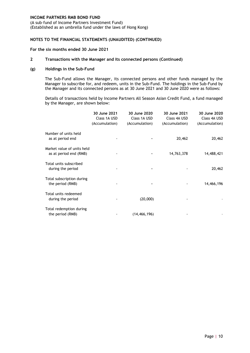(A sub–fund of Income Partners Investment Fund) (Established as an umbrella fund under the laws of Hong Kong)

#### **NOTES TO THE FINANCIAL STATEMENTS (UNAUDITED) (CONTINUED)**

#### **For the six months ended 30 June 2021**

#### **2 Transactions with the Manager and its connected persons (Continued)**

#### **(g) Holdings in the Sub-Fund**

The Sub-Fund allows the Manager, its connected persons and other funds managed by the Manager to subscribe for, and redeem, units in the Sub-Fund. The holdings in the Sub-Fund by the Manager and its connected persons as at 30 June 2021 and 30 June 2020 were as follows:

Details of transactions held by Income Partners All Season Asian Credit Fund, a fund managed by the Manager, are shown below:

|                                                      | 30 June 2021<br>Class 1A USD<br>(Accumulation) | 30 June 2020<br>Class 1A USD<br>(Accumulation) | 30 June 2021<br>Class 4A USD<br>(Accumulation) | 30 June 2020<br>Class 4A USD<br>(Accumulation) |
|------------------------------------------------------|------------------------------------------------|------------------------------------------------|------------------------------------------------|------------------------------------------------|
| Number of units held<br>as at period end             |                                                |                                                | 20,462                                         | 20,462                                         |
| Market value of units held<br>as at period end (RMB) |                                                |                                                | 14,763,378                                     | 14,488,421                                     |
| Total units subscribed<br>during the period          |                                                |                                                |                                                | 20,462                                         |
| Total subscription during<br>the period (RMB)        |                                                |                                                |                                                | 14,466,196                                     |
| Total units redeemed<br>during the period            |                                                | (20,000)                                       |                                                |                                                |
| Total redemption during<br>the period (RMB)          |                                                | (14, 466, 196)                                 |                                                |                                                |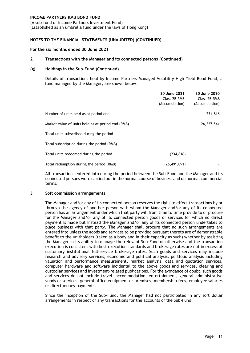(A sub–fund of Income Partners Investment Fund) (Established as an umbrella fund under the laws of Hong Kong)

#### **NOTES TO THE FINANCIAL STATEMENTS (UNAUDITED) (CONTINUED)**

#### **For the six months ended 30 June 2021**

#### **2 Transactions with the Manager and its connected persons (Continued)**

#### **(g) Holdings in the Sub-Fund (Continued)**

Details of transactions held by Income Partners Managed Volatility High Yield Bond Fund, a fund managed by the Manager, are shown below:

|                                                   | 30 June 2021<br>Class 2B RMB<br>(Accumulation) | 30 June 2020<br>Class 2B RMB<br>(Accumulation) |
|---------------------------------------------------|------------------------------------------------|------------------------------------------------|
| Number of units held as at period end             |                                                | 234,816                                        |
| Market value of units held as at period end (RMB) |                                                | 26,327,541                                     |
| Total units subscribed during the period          |                                                |                                                |
| Total subscription during the period (RMB)        |                                                |                                                |
| Total units redeemed during the period            | (234, 816)                                     |                                                |
| Total redemption during the period (RMB)          | (26, 491, 091)                                 |                                                |

All transactions entered into during the period between the Sub-Fund and the Manager and its connected persons were carried out in the normal course of business and on normal commercial terms.

#### **3 Soft commission arrangements**

The Manager and/or any of its connected person reserves the right to effect transactions by or through the agency of another person with whom the Manager and/or any of its connected person has an arrangement under which that party will from time to time provide to or procure for the Manager and/or any of its connected person goods or services for which no direct payment is made but instead the Manager and/or any of its connected person undertakes to place business with that party. The Manager shall procure that no such arrangements are entered into unless the goods and services to be provided pursuant thereto are of demonstrable benefit to the unitholders (taken as a body and in their capacity as such) whether by assisting the Manager in its ability to manage the relevant Sub-Fund or otherwise and the transaction execution is consistent with best execution standards and brokerage rates are not in excess of customary institutional full-service brokerage rates. Such goods and services may include research and advisory services, economic and political analysis, portfolio analysis including valuation and performance measurement, market analysis, data and quotation services, computer hardware and software incidental to the above goods and services, clearing and custodian services and investment-related publications. For the avoidance of doubt, such goods and services do not include travel, accommodation, entertainment, general administrative goods or services, general office equipment or premises, membership fees, employee salaries or direct money payments.

Since the inception of the Sub-Fund, the Manager had not participated in any soft dollar arrangements in respect of any transactions for the accounts of the Sub-Fund.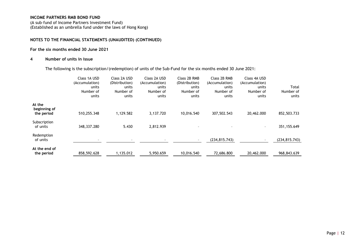(A sub–fund of Income Partners Investment Fund) (Established as an umbrella fund under the laws of Hong Kong)

#### **NOTES TO THE FINANCIAL STATEMENTS (UNAUDITED) (CONTINUED)**

#### **For the six months ended 30 June 2021**

#### **4 Number of units in issue**

The following is the subscription/(redemption) of units of the Sub-Fund for the six months ended 30 June 2021:

|                                      | Class 1A USD<br>(Accumulation)<br>units<br>Number of<br>units | Class 2A USD<br>(Distribution)<br>units<br>Number of<br>units | Class 2A USD<br>(Accumulation)<br>units<br>Number of<br>units | Class 2B RMB<br>(Distribution)<br>units<br>Number of<br>units | Class 2B RMB<br>(Accumulation)<br>units<br>Number of<br>units | Class 4A USD<br>(Accumulation)<br>units<br>Number of<br>units | Total<br>Number of<br>units |
|--------------------------------------|---------------------------------------------------------------|---------------------------------------------------------------|---------------------------------------------------------------|---------------------------------------------------------------|---------------------------------------------------------------|---------------------------------------------------------------|-----------------------------|
| At the<br>beginning of<br>the period | 510,255.348                                                   | 1,129.582                                                     | 3,137.720                                                     | 10,016.540                                                    | 307,502.543                                                   | 20,462.000                                                    | 852,503.733                 |
| Subscription<br>of units             | 348,337.280                                                   | 5.430                                                         | 2,812.939                                                     |                                                               |                                                               | $\overline{\phantom{a}}$                                      | 351,155.649                 |
| Redemption<br>of units               | ۰                                                             | $\overline{\phantom{a}}$                                      |                                                               | ۰.                                                            | (234, 815.743)                                                | $\overline{\phantom{a}}$                                      | (234, 815.743)              |
| At the end of<br>the period          | 858,592.628                                                   | 1,135.012                                                     | 5,950.659                                                     | 10.016.540                                                    | 72,686.800                                                    | 20,462.000                                                    | 968,843.639                 |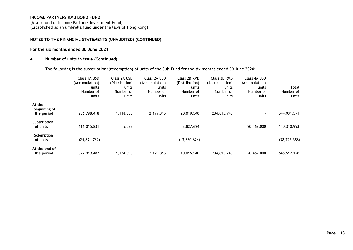(A sub–fund of Income Partners Investment Fund) (Established as an umbrella fund under the laws of Hong Kong)

#### **NOTES TO THE FINANCIAL STATEMENTS (UNAUDITED) (CONTINUED)**

#### **For the six months ended 30 June 2021**

#### **4 Number of units in issue (Continued)**

The following is the subscription/(redemption) of units of the Sub-Fund for the six months ended 30 June 2020:

|                                      | Class 1A USD<br>(Accumulation)<br>units<br>Number of<br>units | Class 2A USD<br>(Distribution)<br>units<br>Number of<br>units | Class 2A USD<br>(Accumulation)<br>units<br>Number of<br>units | Class 2B RMB<br>(Distribution)<br>units<br>Number of<br>units | Class 2B RMB<br>(Accumulation)<br>units<br>Number of<br>units | Class 4A USD<br>(Accumulation)<br>units<br>Number of<br>units | Total<br>Number of<br>units |
|--------------------------------------|---------------------------------------------------------------|---------------------------------------------------------------|---------------------------------------------------------------|---------------------------------------------------------------|---------------------------------------------------------------|---------------------------------------------------------------|-----------------------------|
| At the<br>beginning of<br>the period | 286,798.418                                                   | 1,118.555                                                     | 2,179.315                                                     | 20,019.540                                                    | 234,815.743                                                   | $\overline{\phantom{a}}$                                      | 544,931.571                 |
| Subscription<br>of units             | 116,015.831                                                   | 5.538                                                         |                                                               | 3,827.624                                                     | $\sim$                                                        | 20,462.000                                                    | 140,310.993                 |
| Redemption<br>of units               | (24, 894, 762)                                                |                                                               |                                                               | (13,830.624)                                                  |                                                               | -                                                             | (38, 725.386)               |
| At the end of<br>the period          | 377,919.487                                                   | 1.124.093                                                     | 2.179.315                                                     | 10.016.540                                                    | 234,815,743                                                   | 20,462.000                                                    | 646,517.178                 |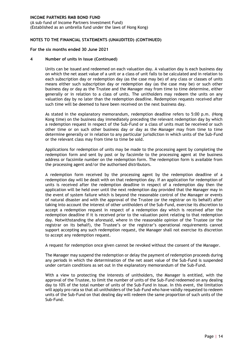(A sub–fund of Income Partners Investment Fund) (Established as an umbrella fund under the laws of Hong Kong)

#### **NOTES TO THE FINANCIAL STATEMENTS (UNAUDITED) (CONTINUED)**

#### **For the six months ended 30 June 2021**

#### **4 Number of units in issue (Continued)**

Units can be issued and redeemed on each valuation day. A valuation day is each business day on which the net asset value of a unit or a class of unit falls to be calculated and in relation to each subscription day or redemption day (as the case may be) of any class or classes of units means either such subscription day or redemption day (as the case may be) or such other business day or day as the Trustee and the Manager may from time to time determine, either generally or in relation to a class of units. The unitholders may redeem the units on any valuation day by no later than the redemption deadline. Redemption requests received after such time will be deemed to have been received on the next business day.

As stated in the explanatory memorandum, redemption deadline refers to 5:00 p.m. (Hong Kong time) on the business day immediately preceding the relevant redemption day by which a redemption request in respect of the Sub-Fund or a class of units must be received or such other time or on such other business day or day as the Manager may from time to time determine generally or in relation to any particular jurisdiction in which units of the Sub-Fund or the relevant class may from time to time be sold.

Applications for redemption of units may be made to the processing agent by completing the redemption form and sent by post or by facsimile to the processing agent at the business address or facsimile number on the redemption form. The redemption form is available from the processing agent and/or the authorised distributors.

A redemption form received by the processing agent by the redemption deadline of a redemption day will be dealt with on that redemption day. If an application for redemption of units is received after the redemption deadline in respect of a redemption day then the application will be held over until the next redemption day provided that the Manager may in the event of system failure which is beyond the reasonable control of the Manager or events of natural disaster and with the approval of the Trustee (or the registrar on its behalf) after taking into account the interest of other unitholders of the Sub-Fund, exercise its discretion to accept a redemption request in respect of a redemption day which is received after the redemption deadline if it is received prior to the valuation point relating to that redemption day. Notwithstanding the aforesaid, where in the reasonable opinion of the Trustee (or the registrar on its behalf), the Trustee's or the registrar's operational requirements cannot support accepting any such redemption request, the Manager shall not exercise its discretion to accept any redemption request.

A request for redemption once given cannot be revoked without the consent of the Manager.

The Manager may suspend the redemption or delay the payment of redemption proceeds during any periods in which the determination of the net asset value of the Sub-Fund is suspended under certain conditions as set out in the explanatory memorandum of the Sub-Fund.

With a view to protecting the interests of unitholders, the Manager is entitled, with the approval of the Trustee, to limit the number of units of the Sub-Fund redeemed on any dealing day to 10% of the total number of units of the Sub-Fund in issue. In this event, the limitation will apply pro rata so that all unitholders of the Sub-Fund who have validly requested to redeem units of the Sub-Fund on that dealing day will redeem the same proportion of such units of the Sub-Fund.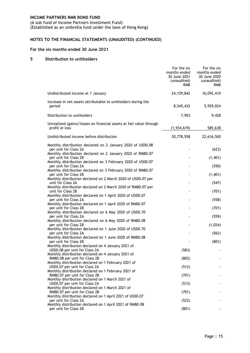(A sub–fund of Income Partners Investment Fund) (Established as an umbrella fund under the laws of Hong Kong)

### **NOTES TO THE FINANCIAL STATEMENTS (UNAUDITED) (CONTINUED)**

#### **For the six months ended 30 June 2021**

#### **5 Distribution to unitholders**

|                                                                                       | For the six<br>months ended<br>30 June 2021<br>(unaudited)<br><b>RMB</b> | For the six<br>months ended<br>30 June 2020<br>(unaudited)<br>RMB |
|---------------------------------------------------------------------------------------|--------------------------------------------------------------------------|-------------------------------------------------------------------|
| Undistributed income at 1 January                                                     | 24, 159, 842                                                             | 16,092,410                                                        |
| Increase in net assets attributable to unitholders during the<br>period               | 8,545,432                                                                | 5,929,024                                                         |
| Distribution to unitholders                                                           | 7,903                                                                    | 9,428                                                             |
| Unrealized (gains)/losses on financial assets at fair value through<br>profit or loss | (1,934,619)                                                              | 585,638                                                           |
| Undistributed income before distribution                                              | 30,778,558                                                               | 22,616,500                                                        |
| Monthly distribution declared on 2 January 2020 of USD0.08                            |                                                                          |                                                                   |
| per unit for Class 2A<br>Monthly distribution declared on 2 January 2020 of RMB0.07   |                                                                          | (623)                                                             |
| per unit for Class 2B<br>Monthly distribution declared on 3 February 2020 of USD0.07  |                                                                          | (1,401)                                                           |
| per unit for Class 2A<br>Monthly distribution declared on 3 February 2020 of RMB0.07  |                                                                          | (550)                                                             |
| per unit for Class 2B<br>Monthly distribution declared on 2 March 2020 of USD0.07 per |                                                                          | (1,401)                                                           |
| unit for Class 2A                                                                     |                                                                          | (547)                                                             |
| Monthly distribution declared on 2 March 2020 of RMB0.07 per<br>unit for Class 2B     |                                                                          | (701)                                                             |
| Monthly distribution declared on 1 April 2020 of USD0.07<br>per unit for Class 2A     |                                                                          | (558)                                                             |
| Monthly distribution declared on 1 April 2020 of RMB0.07                              |                                                                          |                                                                   |
| per unit for Class 2B<br>Monthly distribution declared on 6 May 2020 of USD0.70       |                                                                          | (701)                                                             |
| per unit for Class 2A<br>Monthly distribution declared on 6 May 2020 of RMB0.08       |                                                                          | (559)                                                             |
| per unit for Class 2B<br>Monthly distribution declared on 1 June 2020 of USD0.70      |                                                                          | (1,024)                                                           |
| per unit for Class 2A                                                                 |                                                                          | (562)                                                             |
| Monthly distribution declared on 1 June 2020 of RMB0.08<br>per unit for Class 2B      |                                                                          | (801)                                                             |
| Monthly distribution declared on 4 January 2021 of<br>USD0.08 per unit for Class 2A   | (583)                                                                    |                                                                   |
| Monthly distribution declared on 4 January 2021 of                                    |                                                                          |                                                                   |
| RMB0.08 per unit for Class 2B<br>Monthly distribution declared on 1 February 2021 of  | (802)                                                                    |                                                                   |
| USD0.07 per unit for Class 2A<br>Monthly distribution declared on 1 February 2021 of  | (512)                                                                    |                                                                   |
| RMB0.07 per unit for Class 2B<br>Monthly distribution declared on 1 March 2021 of     | (701)                                                                    |                                                                   |
| USD0.07 per unit for Class 2A                                                         | (513)                                                                    |                                                                   |
| Monthly distribution declared on 1 March 2021 of<br>RMB0.07 per unit for Class 2B     | (701)                                                                    |                                                                   |
| Monthly distribution declared on 1 April 2021 of USD0.07<br>per unit for Class 2A     | (522)                                                                    |                                                                   |
| Monthly distribution declared on 1 April 2021 of RMB0.08<br>per unit for Class 2B     | (801)                                                                    |                                                                   |
|                                                                                       |                                                                          |                                                                   |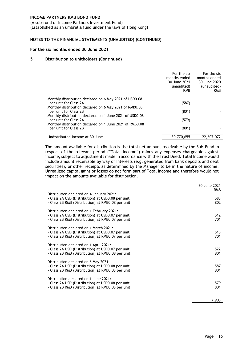(A sub–fund of Income Partners Investment Fund) (Established as an umbrella fund under the laws of Hong Kong)

### **NOTES TO THE FINANCIAL STATEMENTS (UNAUDITED) (CONTINUED)**

#### **For the six months ended 30 June 2021**

#### **5 Distribution to unitholders (Continued)**

|                                                                                  | For the six<br>months ended<br>30 June 2021<br>(unaudited)<br><b>RMB</b> | For the six<br>months ended<br>30 June 2020<br>(unaudited)<br><b>RMB</b> |
|----------------------------------------------------------------------------------|--------------------------------------------------------------------------|--------------------------------------------------------------------------|
| Monthly distribution declared on 6 May 2021 of USD0.08                           |                                                                          |                                                                          |
| per unit for Class 2A<br>Monthly distribution declared on 6 May 2021 of RMB0.08  | (587)                                                                    |                                                                          |
| per unit for Class 2B                                                            | (801)                                                                    |                                                                          |
| Monthly distribution declared on 1 June 2021 of USD0.08<br>per unit for Class 2A | (579)                                                                    |                                                                          |
| Monthly distribution declared on 1 June 2021 of RMB0.08<br>per unit for Class 2B | (801)                                                                    |                                                                          |
| Undistributed income at 30 June                                                  | 30,770,655                                                               | 22,607,072                                                               |

The amount available for distribution is the total net amount receivable by the Sub-Fund in respect of the relevant period ("Total Income") minus any expenses chargeable against income, subject to adjustments made in accordance with the Trust Deed. Total Income would include amount receivable by way of interests (e.g. generated from bank deposits and debt securities), or other receipts as determined by the Manager to be in the nature of income. Unrealized capital gains or losses do not form part of Total Income and therefore would not impact on the amounts available for distribution.

|                                                                                                                                                     | 30 June 2021<br><b>RMB</b> |
|-----------------------------------------------------------------------------------------------------------------------------------------------------|----------------------------|
| Distribution declared on 4 January 2021:<br>- Class 2A USD (Distribution) at USD0.08 per unit<br>- Class 2B RMB (Distribution) at RMB0.08 per unit  | 583<br>802                 |
| Distribution declared on 1 February 2021:<br>- Class 2A USD (Distribution) at USD0.07 per unit<br>- Class 2B RMB (Distribution) at RMB0.07 per unit | 512<br>701                 |
| Distribution declared on 1 March 2021:<br>- Class 2A USD (Distribution) at USD0.07 per unit<br>- Class 2B RMB (Distribution) at RMB0.07 per unit    | 513<br>701                 |
| Distribution declared on 1 April 2021:<br>- Class 2A USD (Distribution) at USD0.07 per unit<br>- Class 2B RMB (Distribution) at RMB0.08 per unit    | 522<br>801                 |
| Distribution declared on 6 May 2021:<br>- Class 2A USD (Distribution) at USD0.08 per unit<br>- Class 2B RMB (Distribution) at RMB0.08 per unit      | 587<br>801                 |
| Distribution declared on 1 June 2021:<br>- Class 2A USD (Distribution) at USD0.08 per unit<br>- Class 2B RMB (Distribution) at RMB0.08 per unit     | 579<br>801                 |
|                                                                                                                                                     | 7,903                      |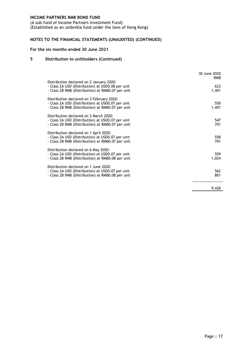(A sub–fund of Income Partners Investment Fund) (Established as an umbrella fund under the laws of Hong Kong)

### **NOTES TO THE FINANCIAL STATEMENTS (UNAUDITED) (CONTINUED)**

#### **For the six months ended 30 June 2021**

#### **5 Distribution to unitholders (Continued)**

|                                                                                                                                                     | 30 June 2020<br><b>RMB</b> |
|-----------------------------------------------------------------------------------------------------------------------------------------------------|----------------------------|
| Distribution declared on 2 January 2020:<br>- Class 2A USD (Distribution) at USD0.08 per unit<br>- Class 2B RMB (Distribution) at RMB0.07 per unit  | 623<br>1,401               |
| Distribution declared on 3 February 2020:<br>- Class 2A USD (Distribution) at USD0.07 per unit<br>- Class 2B RMB (Distribution) at RMB0.07 per unit | 550<br>1,401               |
| Distribution declared on 2 March 2020:<br>- Class 2A USD (Distribution) at USD0.07 per unit<br>- Class 2B RMB (Distribution) at RMB0.07 per unit    | 547<br>701                 |
| Distribution declared on 1 April 2020:<br>- Class 2A USD (Distribution) at USD0.07 per unit<br>- Class 2B RMB (Distribution) at RMB0.07 per unit    | 558<br>701                 |
| Distribution declared on 6 May 2020:<br>- Class 2A USD (Distribution) at USD0.07 per unit<br>- Class 2B RMB (Distribution) at RMB0.08 per unit      | 559<br>1,024               |
| Distribution declared on 1 June 2020:<br>- Class 2A USD (Distribution) at USD0.07 per unit<br>- Class 2B RMB (Distribution) at RMB0.08 per unit     | 562<br>801                 |
|                                                                                                                                                     | 9,428                      |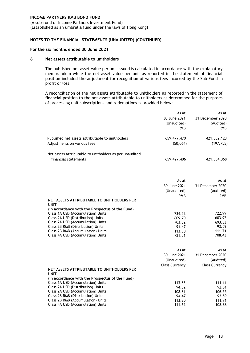(A sub–fund of Income Partners Investment Fund) (Established as an umbrella fund under the laws of Hong Kong)

#### **NOTES TO THE FINANCIAL STATEMENTS (UNAUDITED) (CONTINUED)**

#### **For the six months ended 30 June 2021**

#### **6 Net assets attributable to unitholders**

The published net asset value per unit issued is calculated in accordance with the explanatory memorandum while the net asset value per unit as reported in the statement of financial position included the adjustment for recognition of various fees incurred by the Sub-Fund in profit or loss.

A reconciliation of the net assets attributable to unitholders as reported in the statement of financial position to the net assets attributable to unitholders as determined for the purposes of processing unit subscriptions and redemptions is provided below:

|                                                                                 | As at<br>30 June 2021<br>(Unaudited)<br><b>RMB</b> | As at<br>31 December 2020<br>(Audited)<br><b>RMB</b> |
|---------------------------------------------------------------------------------|----------------------------------------------------|------------------------------------------------------|
| Published net assets attributable to unitholders<br>Adjustments on various fees | 659,477,470<br>(50,064)                            | 421,552,123<br>(197, 755)                            |
| Net assets attributable to unitholders as per unaudited<br>financial statements | 659,427,406                                        | 421,354,368                                          |

|                                                                | As at<br>30 June 2021<br>(Unaudited)<br><b>RMB</b> | As at<br>31 December 2020<br>(Audited)<br><b>RMB</b> |
|----------------------------------------------------------------|----------------------------------------------------|------------------------------------------------------|
| NET ASSETS ATTRIBUTABLE TO UNITHOLDERS PER                     |                                                    |                                                      |
| <b>UNIT</b><br>(in accordance with the Prospectus of the Fund) |                                                    |                                                      |
| Class 1A USD (Accumulation) Units                              | 734.52                                             | 722.99                                               |
| Class 2A USD (Distribution) Units                              | 609.70                                             | 603.92                                               |
| Class 2A USD (Accumulation) Units                              | 703.32                                             | 693.33                                               |
| Class 2B RMB (Distribution) Units                              | 94.47                                              | 93.59                                                |
| Class 2B RMB (Accumulation) Units                              | 113.30                                             | 111.71                                               |
| Class 4A USD (Accumulation) Units                              | 721.51                                             | 708.43                                               |

<span id="page-20-0"></span>

|                                                 | As at<br>30 June 2021<br>(Unaudited)<br><b>Class Currency</b> | As at<br>31 December 2020<br>(Audited)<br><b>Class Currency</b> |
|-------------------------------------------------|---------------------------------------------------------------|-----------------------------------------------------------------|
| NET ASSETS ATTRIBUTABLE TO UNITHOLDERS PER      |                                                               |                                                                 |
| <b>UNIT</b>                                     |                                                               |                                                                 |
| (in accordance with the Prospectus of the Fund) |                                                               |                                                                 |
| Class 1A USD (Accumulation) Units               | 113.63                                                        | 111.11                                                          |
| Class 2A USD (Distribution) Units               | 94.32                                                         | 92.81                                                           |
| Class 2A USD (Accumulation) Units               | 108.81                                                        | 106.55                                                          |
| Class 2B RMB (Distribution) Units               | 94.47                                                         | 93.59                                                           |
| Class 2B RMB (Accumulation) Units               | 113.30                                                        | 111.71                                                          |
| Class 4A USD (Accumulation) Units               | 111.62                                                        | 108.88                                                          |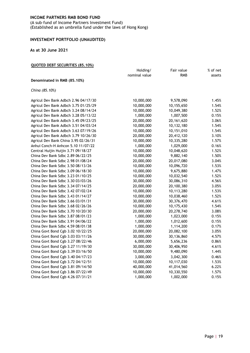(A sub–fund of Income Partners Investment Fund) (Established as an umbrella fund under the laws of Hong Kong)

#### **INVESTMENT PORTFOLIO (UNAUDITED)**

#### **As at 30 June 2021**

#### **QUOTED DEBT SECURITIES (85.10%)**

|                                      | Holding/      | Fair value   | % of net |
|--------------------------------------|---------------|--------------|----------|
|                                      | nominal value | <b>RMB</b>   | assets   |
| Denominated in RMB (85.10%)          |               |              |          |
| China (85.10%)                       |               |              |          |
|                                      |               |              |          |
| Agricul Dev Bank Adbch 2.96 04/17/30 | 10,000,000    | 9,578,090    | 1.45%    |
| Agricul Dev Bank Adbch 3.75 01/25/29 | 10,000,000    | 10,155,650   | 1.54%    |
| Agricul Dev Bank Adbch 3.24 08/14/24 | 10,000,000    | 10,049,380   | 1.52%    |
| Agricul Dev Bank Adbch 3.28 05/13/22 | 1,000,000     | 1,007,500    | 0.15%    |
| Agricul Dev Bank Adbch 3.45 09/23/25 | 20,000,000    | 20, 161, 620 | 3.06%    |
| Agricul Dev Bank Adbch 3.51 04/03/24 | 10,000,000    | 10,132,180   | 1.54%    |
| Agricul Dev Bank Adbch 3.63 07/19/26 | 10,000,000    | 10,151,010   | 1.54%    |
| Agricul Dev Bank Adbch 3.79 10/26/30 | 20,000,000    | 20,412,120   | 3.10%    |
| Agricul Dev Bank China 3.95 02/26/31 | 10,000,000    | 10,335,280   | 1.57%    |
| Anhui Conch-H Anhcon 5.10 11/07/22   | 1,000,000     | 1,029,000    | 0.16%    |
| Central Huijin Huijin 3.71 09/18/27  | 10,000,000    | 10,048,620   | 1.52%    |
| China Dev Bank Sdbc 2.89 06/22/25    | 10,000,000    | 9,882,140    | 1.50%    |
| China Dev Bank Sdbc 2.98 01/08/24    | 20,000,000    | 20,017,080   | 3.04%    |
| China Dev Bank Sdbc 3.50 08/13/26    | 10,000,000    | 10,096,720   | 1.53%    |
| China Dev Bank Sdbc 3.09 06/18/30    | 10,000,000    | 9,675,880    | 1.47%    |
| China Dev Bank Sdbc 3.23 01/10/25    | 10,000,000    | 10,032,540   | 1.52%    |
| China Dev Bank Sdbc 3.30 03/03/26    | 30,000,000    | 30,086,310   | 4.56%    |
| China Dev Bank Sdbc 3.34 07/14/25    | 20,000,000    | 20,100,380   | 3.05%    |
| China Dev Bank Sdbc 3.42 07/02/24    | 10,000,000    | 10,113,280   | 1.53%    |
| China Dev Bank Sdbc 3.43 01/14/27    | 10,000,000    | 10,038,460   | 1.52%    |
| China Dev Bank Sdbc 3.66 03/01/31    | 30,000,000    | 30,376,470   | 4.61%    |
| China Dev Bank Sdbc 3.68 02/26/26    | 10,000,000    | 10,175,430   | 1.54%    |
| China Dev Bank Sdbc 3.70 10/20/30    | 20,000,000    | 20,278,740   | 3.08%    |
| China Dev Bank Sdbc 3.87 08/01/23    | 1,000,000     | 1,023,000    | 0.15%    |
| China Dev Bank Sdbc 3.91 04/06/22    | 1,000,000     | 1,012,600    | 0.15%    |
| China Dev Bank Sdbc 4.59 08/01/38    | 1,000,000     | 1,114,200    | 0.17%    |
| China Govt Bond Cgb 3.02 10/22/25    | 20,000,000    | 20,082,100   | 3.05%    |
| China Govt Bond Cgb 3.03 03/11/26    | 30,000,000    | 30,136,860   | 4.57%    |
| China Govt Bond Cgb 3.27 08/22/46    | 6,000,000     | 5,656,236    | 0.86%    |
| China Govt Bond Cgb 3.27 11/19/30    | 30,000,000    | 30,406,950   | 4.61%    |
| China Govt Bond Cgb 3.39 03/16/50    | 10,000,000    | 9,480,090    | 1.44%    |
| China Govt Bond Cgb 3.40 04/17/23    | 3,000,000     | 3,042,300    | 0.46%    |
| China Govt Bond Cgb 3.72 04/12/51    | 10,000,000    | 10,117,030   | 1.53%    |
| China Govt Bond Cgb 3.81 09/14/50    | 40,000,000    | 41,014,560   | 6.22%    |
| China Govt Bond Cgb 3.86 07/22/49    | 10,000,000    | 10,330,550   | 1.57%    |
| China Govt Bond Cgb 4.26 07/31/21    | 1,000,000     | 1,002,000    | 0.15%    |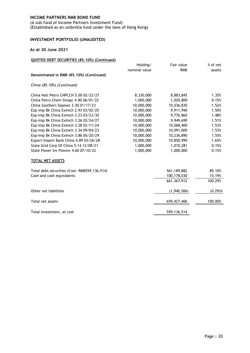(A sub–fund of Income Partners Investment Fund) (Established as an umbrella fund under the laws of Hong Kong)

# **INVESTMENT PORTFOLIO (UNAUDITED)**

#### **As at 30 June 2021**

### **QUOTED DEBT SECURITIES (85.10%) (Continued)**

|                                              | Holding/      | Fair value    | % of net   |
|----------------------------------------------|---------------|---------------|------------|
|                                              | nominal value | <b>RMB</b>    | assets     |
| Denominated in RMB (85.10%) (Continued)      |               |               |            |
| China (85.10%) (Continued)                   |               |               |            |
| China Natl Petro CNPCCH 5.00 02/22/27        | 8,330,000     | 8,883,845     | 1.35%      |
| China Petro Chem Sinopc 4.90 06/01/22        | 1,000,000     | 1,020,800     | 0.15%      |
| China Southern Sopowz 3.30 01/17/23          | 10,000,000    | 10,036,830    | 1.52%      |
| Exp-Imp Bk China Eximch 2.93 03/02/25        | 10,000,000    | 9,911,940     | 1.50%      |
| Exp-Imp Bk China Eximch 3.23 03/23/30        | 10,000,000    | 9,776,860     | 1.48%      |
| Exp-Imp Bk China Eximch 3.26 02/24/27        | 10,000,000    | 9,949,690     | 1.51%      |
| Exp-Imp Bk China Eximch 3.28 02/11/24        | 10,000,000    | 10,068,400    | 1.53%      |
| Exp-Imp Bk China Eximch 3.34 09/04/23        | 10,000,000    | 10,091,000    | 1.53%      |
| Exp-Imp Bk China Eximch 3.86 05/20/29        | 10,000,000    | 10,236,890    | 1.55%      |
| Export-Import Bank China 4.89 03/26/28       | 10,000,000    | 10,850,990    | 1.65%      |
| State Grid Corp Of China 5.14 12/08/21       | 1,000,000     | 1,010,281     | 0.15%      |
| State Power Inv Powinv 4.60 07/10/22         | 1,000,000     | 1,000,000     | 0.15%      |
| TOTAL NET ASSETS                             |               |               |            |
| Total debt securities (Cost: RMB559,136,514) |               | 561,189,882   | 85.10%     |
| Cash and cash equivalents                    |               | 100,178,030   | 15.19%     |
|                                              |               | 661, 367, 912 | 100.29%    |
| Other net liabilities                        |               | (1,940,506)   | $(0.29)$ % |
| Total net assets                             |               | 659,427,406   | 100.00%    |
| Total investment, at cost                    |               | 559, 136, 514 |            |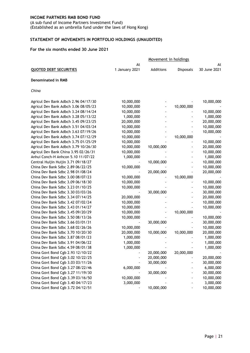(A sub–fund of Income Partners Investment Fund) (Established as an umbrella fund under the laws of Hong Kong)

# <span id="page-23-0"></span>**STATEMENT OF MOVEMENTS IN PORTFOLIO HOLDINGS (UNAUDITED)**

#### **For the six months ended 30 June 2021**

|                                      |                      | Movement in holdings |            |                    |  |
|--------------------------------------|----------------------|----------------------|------------|--------------------|--|
| <b>QUOTED DEBT SECURITIES</b>        | At<br>1 January 2021 | Additions            | Disposals  | At<br>30 June 2021 |  |
| <b>Denominated in RMB</b>            |                      |                      |            |                    |  |
| China                                |                      |                      |            |                    |  |
| Agricul Dev Bank Adbch 2.96 04/17/30 | 10,000,000           |                      |            | 10,000,000         |  |
| Agricul Dev Bank Adbch 3.06 08/05/23 | 10,000,000           |                      | 10,000,000 |                    |  |
| Agricul Dev Bank Adbch 3.24 08/14/24 | 10,000,000           |                      |            | 10,000,000         |  |
| Agricul Dev Bank Adbch 3.28 05/13/22 | 1,000,000            |                      |            | 1,000,000          |  |
| Agricul Dev Bank Adbch 3.45 09/23/25 | 20,000,000           |                      |            | 20,000,000         |  |
| Agricul Dev Bank Adbch 3.51 04/03/24 | 10,000,000           |                      |            | 10,000,000         |  |
| Agricul Dev Bank Adbch 3.63 07/19/26 | 10,000,000           |                      |            | 10,000,000         |  |
| Agricul Dev Bank Adbch 3.74 07/12/29 | 10,000,000           |                      | 10,000,000 |                    |  |
| Agricul Dev Bank Adbch 3.75 01/25/29 | 10,000,000           |                      |            | 10,000,000         |  |
| Agricul Dev Bank Adbch 3.79 10/26/30 | 10,000,000           | 10,000,000           |            | 20,000,000         |  |
| Agricul Dev Bank China 3.95 02/26/31 | 10,000,000           |                      |            | 10,000,000         |  |
| Anhui Conch-H Anhcon 5.10 11/07/22   | 1,000,000            |                      |            | 1,000,000          |  |
| Central Huijin Huijin 3.71 09/18/27  |                      | 10,000,000           |            | 10,000,000         |  |
| China Dev Bank Sdbc 2.89 06/22/25    | 10,000,000           |                      |            | 10,000,000         |  |
| China Dev Bank Sdbc 2.98 01/08/24    |                      | 20,000,000           |            | 20,000,000         |  |
| China Dev Bank Sdbc 3.00 08/07/23    | 10,000,000           |                      | 10,000,000 |                    |  |
| China Dev Bank Sdbc 3.09 06/18/30    | 10,000,000           |                      |            | 10,000,000         |  |
| China Dev Bank Sdbc 3.23 01/10/25    | 10,000,000           |                      |            | 10,000,000         |  |
| China Dev Bank Sdbc 3.30 03/03/26    |                      | 30,000,000           |            | 30,000,000         |  |
| China Dev Bank Sdbc 3.34 07/14/25    | 20,000,000           |                      |            | 20,000,000         |  |
| China Dev Bank Sdbc 3.42 07/02/24    | 10,000,000           |                      |            | 10,000,000         |  |
| China Dev Bank Sdbc 3.43 01/14/27    | 10,000,000           |                      |            | 10,000,000         |  |
| China Dev Bank Sdbc 3.45 09/20/29    | 10,000,000           |                      | 10,000,000 |                    |  |
| China Dev Bank Sdbc 3.50 08/13/26    | 10,000,000           |                      |            | 10,000,000         |  |
| China Dev Bank Sdbc 3.66 03/01/31    |                      | 30,000,000           |            | 30,000,000         |  |
| China Dev Bank Sdbc 3.68 02/26/26    | 10,000,000           |                      |            | 10,000,000         |  |
| China Dev Bank Sdbc 3.70 10/20/30    | 20,000,000           | 10,000,000           | 10,000,000 | 20,000,000         |  |
| China Dev Bank Sdbc 3.87 08/01/23    | 1,000,000            |                      |            | 1,000,000          |  |
| China Dev Bank Sdbc 3.91 04/06/22    | 1,000,000            |                      |            | 1,000,000          |  |
| China Dev Bank Sdbc 4.59 08/01/38    | 1,000,000            |                      |            | 1,000,000          |  |
| China Govt Bond Cgb 2.93 12/10/22    |                      | 20,000,000           | 20,000,000 |                    |  |
| China Govt Bond Cgb 3.02 10/22/25    |                      | 20,000,000           |            | 20,000,000         |  |
| China Govt Bond Cgb 3.03 03/11/26    |                      | 30,000,000           |            | 30,000,000         |  |
| China Govt Bond Cgb 3.27 08/22/46    | 6,000,000            |                      |            | 6,000,000          |  |
| China Govt Bond Cgb 3.27 11/19/30    |                      | 30,000,000           |            | 30,000,000         |  |
| China Govt Bond Cgb 3.39 03/16/50    | 10,000,000           |                      |            | 10,000,000         |  |
| China Govt Bond Cgb 3.40 04/17/23    | 3,000,000            |                      |            | 3,000,000          |  |
| China Govt Bond Cgb 3.72 04/12/51    |                      | 10,000,000           |            | 10,000,000         |  |
|                                      |                      |                      |            |                    |  |